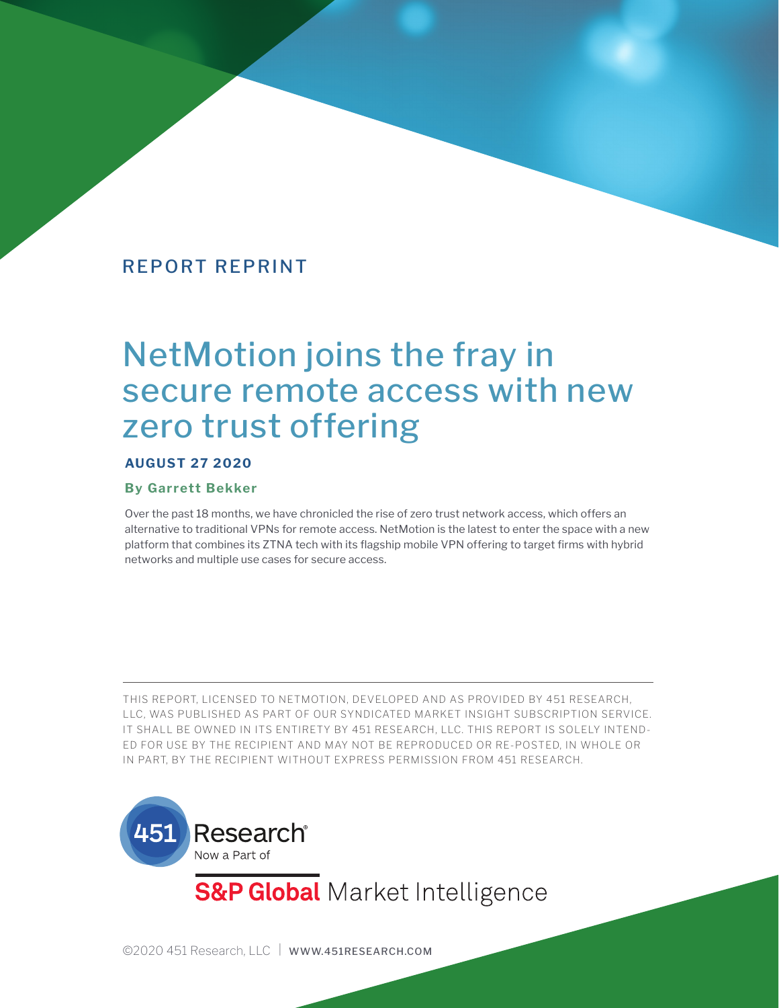# REPORT REPRINT

# NetMotion joins the fray in secure remote access with new zero trust offering

#### **AUGUST 27 2020**

#### **By Garrett Bekker**

Over the past 18 months, we have chronicled the rise of zero trust network access, which offers an alternative to traditional VPNs for remote access. NetMotion is the latest to enter the space with a new platform that combines its ZTNA tech with its flagship mobile VPN offering to target firms with hybrid networks and multiple use cases for secure access.

THIS REPORT, LICENSED TO NETMOTION, DEVELOPED AND AS PROVIDED BY 451 RESEARCH, LLC, WAS PUBLISHED AS PART OF OUR SYNDICATED MARKET INSIGHT SUBSCRIPTION SERVICE. IT SHALL BE OWNED IN ITS ENTIRETY BY 451 RESEARCH, LLC. THIS REPORT IS SOLELY INTEND-ED FOR USE BY THE RECIPIENT AND MAY NOT BE REPRODUCED OR RE-POSTED, IN WHOLE OR IN PART, BY THE RECIPIENT WITHOUT EXPRESS PERMISSION FROM 451 RESEARCH.



**S&P Global** Market Intelligence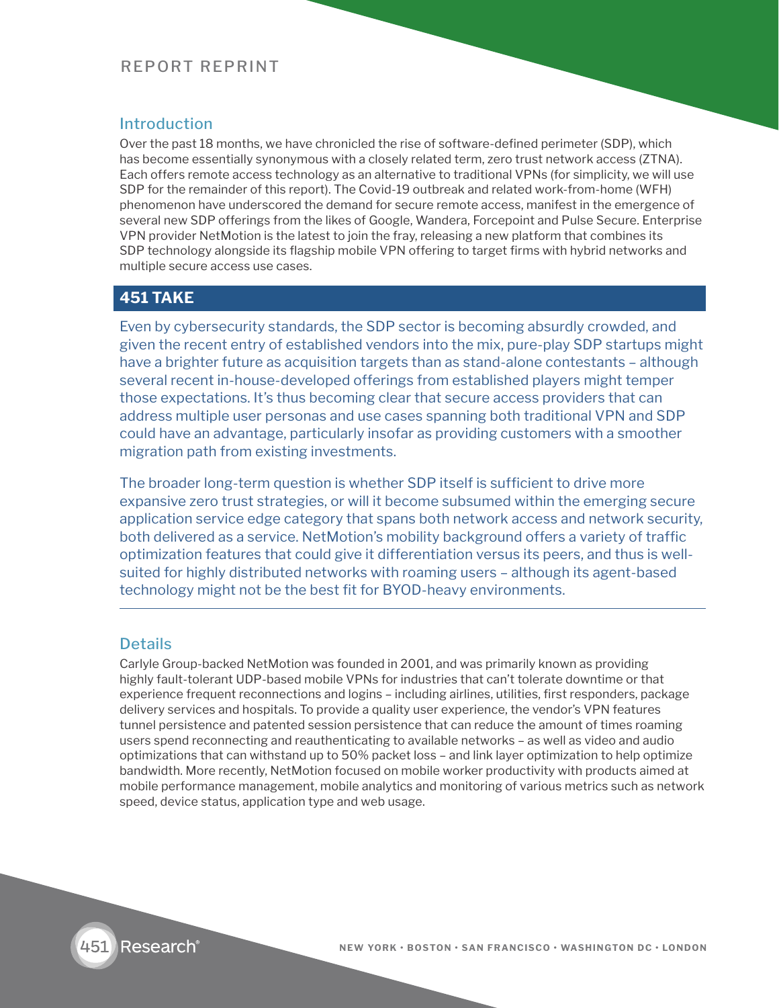# REPORT REPRINT

## **Introduction**

Over the past 18 months, we have chronicled the rise of software-defined perimeter (SDP), which has become essentially synonymous with a closely related term, zero trust network access (ZTNA). Each offers remote access technology as an alternative to traditional VPNs (for simplicity, we will use SDP for the remainder of this report). The Covid-19 outbreak and related work-from-home (WFH) phenomenon have underscored the demand for secure remote access, manifest in the emergence of several new SDP offerings from the likes of Google, Wandera, Forcepoint and Pulse Secure. Enterprise VPN provider NetMotion is the latest to join the fray, releasing a new platform that combines its SDP technology alongside its flagship mobile VPN offering to target firms with hybrid networks and multiple secure access use cases.

### **451 TAKE**

Even by cybersecurity standards, the SDP sector is becoming absurdly crowded, and given the recent entry of established vendors into the mix, pure-play SDP startups might have a brighter future as acquisition targets than as stand-alone contestants – although several recent in-house-developed offerings from established players might temper those expectations. It's thus becoming clear that secure access providers that can address multiple user personas and use cases spanning both traditional VPN and SDP could have an advantage, particularly insofar as providing customers with a smoother migration path from existing investments.

The broader long-term question is whether SDP itself is sufficient to drive more expansive zero trust strategies, or will it become subsumed within the emerging secure application service edge category that spans both network access and network security, both delivered as a service. NetMotion's mobility background offers a variety of traffic optimization features that could give it differentiation versus its peers, and thus is wellsuited for highly distributed networks with roaming users – although its agent-based technology might not be the best fit for BYOD-heavy environments.

#### **Details**

Carlyle Group-backed NetMotion was founded in 2001, and was primarily known as providing highly fault-tolerant UDP-based mobile VPNs for industries that can't tolerate downtime or that experience frequent reconnections and logins – including airlines, utilities, first responders, package delivery services and hospitals. To provide a quality user experience, the vendor's VPN features tunnel persistence and patented session persistence that can reduce the amount of times roaming users spend reconnecting and reauthenticating to available networks – as well as video and audio optimizations that can withstand up to 50% packet loss – and link layer optimization to help optimize bandwidth. More recently, NetMotion focused on mobile worker productivity with products aimed at mobile performance management, mobile analytics and monitoring of various metrics such as network speed, device status, application type and web usage.